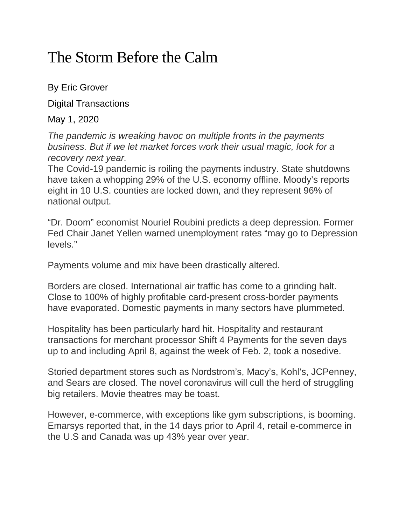## The Storm Before the Calm

By Eric Grover

Digital Transactions

May 1, 2020

*The pandemic is wreaking havoc on multiple fronts in the payments business. But if we let market forces work their usual magic, look for a recovery next year.*

The Covid-19 pandemic is roiling the payments industry. State shutdowns have taken a whopping 29% of the U.S. economy offline. Moody's reports eight in 10 U.S. counties are locked down, and they represent 96% of national output.

"Dr. Doom" economist Nouriel Roubini predicts a deep depression. Former Fed Chair Janet Yellen warned unemployment rates "may go to Depression levels."

Payments volume and mix have been drastically altered.

Borders are closed. International air traffic has come to a grinding halt. Close to 100% of highly profitable card-present cross-border payments have evaporated. Domestic payments in many sectors have plummeted.

Hospitality has been particularly hard hit. Hospitality and restaurant transactions for merchant processor Shift 4 Payments for the seven days up to and including April 8, against the week of Feb. 2, took a nosedive.

Storied department stores such as Nordstrom's, Macy's, Kohl's, JCPenney, and Sears are closed. The novel coronavirus will cull the herd of struggling big retailers. Movie theatres may be toast.

However, e-commerce, with exceptions like gym subscriptions, is booming. Emarsys reported that, in the 14 days prior to April 4, retail e-commerce in the U.S and Canada was up 43% year over year.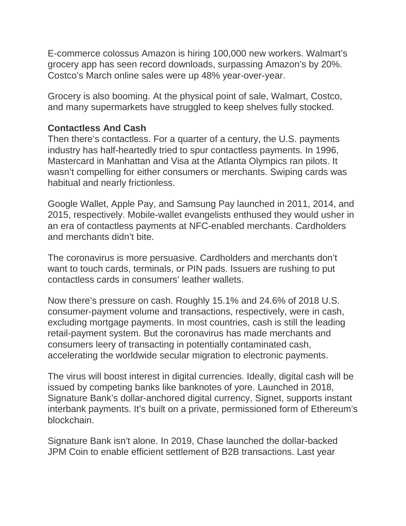E-commerce colossus Amazon is hiring 100,000 new workers. Walmart's grocery app has seen record downloads, surpassing Amazon's by 20%. Costco's March online sales were up 48% year-over-year.

Grocery is also booming. At the physical point of sale, Walmart, Costco, and many supermarkets have struggled to keep shelves fully stocked.

## **Contactless And Cash**

Then there's contactless. For a quarter of a century, the U.S. payments industry has half-heartedly tried to spur contactless payments. In 1996, Mastercard in Manhattan and Visa at the Atlanta Olympics ran pilots. It wasn't compelling for either consumers or merchants. Swiping cards was habitual and nearly frictionless.

Google Wallet, Apple Pay, and Samsung Pay launched in 2011, 2014, and 2015, respectively. Mobile-wallet evangelists enthused they would usher in an era of contactless payments at NFC-enabled merchants. Cardholders and merchants didn't bite.

The coronavirus is more persuasive. Cardholders and merchants don't want to touch cards, terminals, or PIN pads. Issuers are rushing to put contactless cards in consumers' leather wallets.

Now there's pressure on cash. Roughly 15.1% and 24.6% of 2018 U.S. consumer-payment volume and transactions, respectively, were in cash, excluding mortgage payments. In most countries, cash is still the leading retail-payment system. But the coronavirus has made merchants and consumers leery of transacting in potentially contaminated cash, accelerating the worldwide secular migration to electronic payments.

The virus will boost interest in digital currencies. Ideally, digital cash will be issued by competing banks like banknotes of yore. Launched in 2018, Signature Bank's dollar-anchored digital currency, Signet, supports instant interbank payments. It's built on a private, permissioned form of Ethereum's blockchain.

Signature Bank isn't alone. In 2019, Chase launched the dollar-backed JPM Coin to enable efficient settlement of B2B transactions. Last year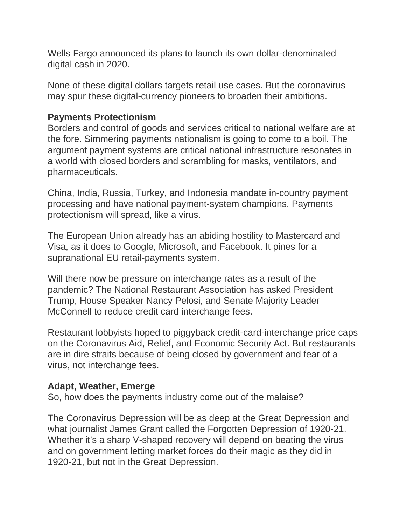Wells Fargo announced its plans to launch its own dollar-denominated digital cash in 2020.

None of these digital dollars targets retail use cases. But the coronavirus may spur these digital-currency pioneers to broaden their ambitions.

## **Payments Protectionism**

Borders and control of goods and services critical to national welfare are at the fore. Simmering payments nationalism is going to come to a boil. The argument payment systems are critical national infrastructure resonates in a world with closed borders and scrambling for masks, ventilators, and pharmaceuticals.

China, India, Russia, Turkey, and Indonesia mandate in-country payment processing and have national payment-system champions. Payments protectionism will spread, like a virus.

The European Union already has an abiding hostility to Mastercard and Visa, as it does to Google, Microsoft, and Facebook. It pines for a supranational EU retail-payments system.

Will there now be pressure on interchange rates as a result of the pandemic? The National Restaurant Association has asked President Trump, House Speaker Nancy Pelosi, and Senate Majority Leader McConnell to reduce credit card interchange fees.

Restaurant lobbyists hoped to piggyback credit-card-interchange price caps on the Coronavirus Aid, Relief, and Economic Security Act. But restaurants are in dire straits because of being closed by government and fear of a virus, not interchange fees.

## **Adapt, Weather, Emerge**

So, how does the payments industry come out of the malaise?

The Coronavirus Depression will be as deep at the Great Depression and what journalist James Grant called the Forgotten Depression of 1920-21. Whether it's a sharp V-shaped recovery will depend on beating the virus and on government letting market forces do their magic as they did in 1920-21, but not in the Great Depression.